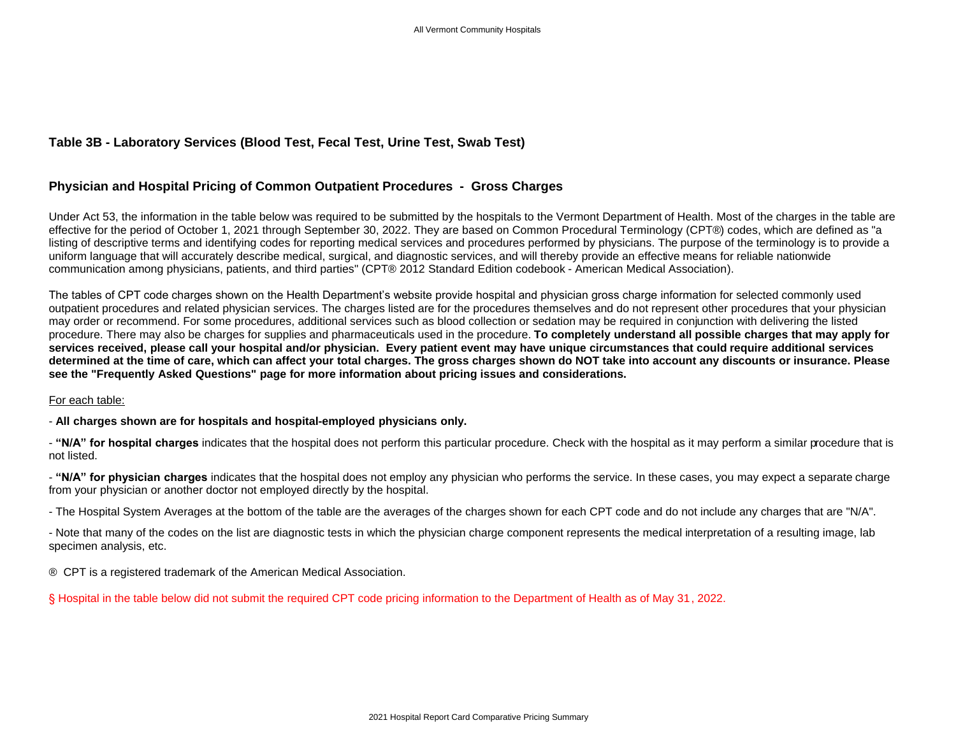## **Table 3B - Laboratory Services (Blood Test, Fecal Test, Urine Test, Swab Test)**

## **Physician and Hospital Pricing of Common Outpatient Procedures - Gross Charges**

Under Act 53, the information in the table below was required to be submitted by the hospitals to the Vermont Department of Health. Most of the charges in the table are effective for the period of October 1, 2021 through September 30, 2022. They are based on Common Procedural Terminology (CPT®) codes, which are defined as "a listing of descriptive terms and identifying codes for reporting medical services and procedures performed by physicians. The purpose of the terminology is to provide a uniform language that will accurately describe medical, surgical, and diagnostic services, and will thereby provide an effective means for reliable nationwide communication among physicians, patients, and third parties" (CPT® 2012 Standard Edition codebook - American Medical Association).

The tables of CPT code charges shown on the Health Department's website provide hospital and physician gross charge information for selected commonly used outpatient procedures and related physician services. The charges listed are for the procedures themselves and do not represent other procedures that your physician may order or recommend. For some procedures, additional services such as blood collection or sedation may be required in conjunction with delivering the listed procedure. There may also be charges for supplies and pharmaceuticals used in the procedure. **To completely understand all possible charges that may apply for services received, please call your hospital and/or physician. Every patient event may have unique circumstances that could require additional services determined at the time of care, which can affect your total charges. The gross charges shown do NOT take into account any discounts or insurance. Please see the "Frequently Asked Questions" page for more information about pricing issues and considerations.**

## For each table:

- **All charges shown are for hospitals and hospital-employed physicians only.**

- **"N/A" for hospital charges** indicates that the hospital does not perform this particular procedure. Check with the hospital as it may perform a similar procedure that is not listed.

- **"N/A" for physician charges** indicates that the hospital does not employ any physician who performs the service. In these cases, you may expect a separate charge from your physician or another doctor not employed directly by the hospital.

- The Hospital System Averages at the bottom of the table are the averages of the charges shown for each CPT code and do not include any charges that are "N/A".

- Note that many of the codes on the list are diagnostic tests in which the physician charge component represents the medical interpretation of a resulting image, lab specimen analysis, etc.

® CPT is a registered trademark of the American Medical Association.

§ Hospital in the table below did not submit the required CPT code pricing information to the Department of Health as of May 31, 2022.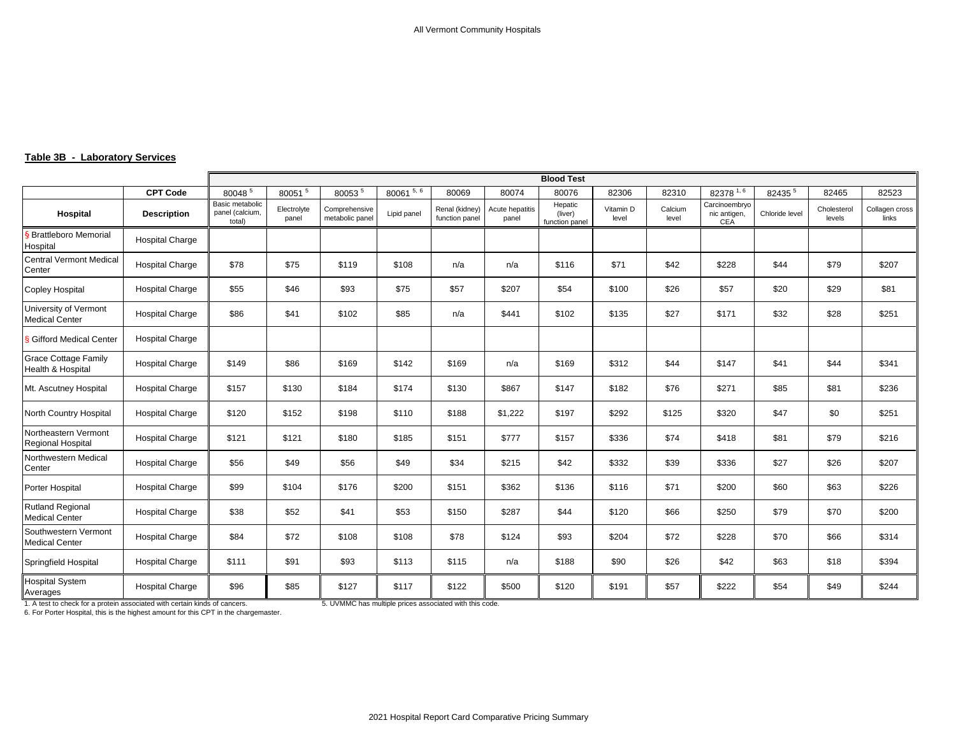## **Table 3B - Laboratory Services**

|                                                  |                        | <b>Blood Test</b>                            |                      |                                  |                         |                                  |                          |                                      |                    |                  |                                      |                |                       |                         |
|--------------------------------------------------|------------------------|----------------------------------------------|----------------------|----------------------------------|-------------------------|----------------------------------|--------------------------|--------------------------------------|--------------------|------------------|--------------------------------------|----------------|-----------------------|-------------------------|
|                                                  | <b>CPT Code</b>        | 800485                                       | 80051 <sup>5</sup>   | 800535                           | $80061$ <sup>5, 6</sup> | 80069                            | 80074                    | 80076                                | 82306              | 82310            | 82378 1, 6                           | 82435 5        | 82465                 | 82523                   |
| Hospital                                         | <b>Description</b>     | Basic metabolic<br>panel (calcium,<br>total) | Electrolyte<br>panel | Comprehensive<br>metabolic panel | Lipid panel             | Renal (kidney)<br>function panel | Acute hepatitis<br>panel | Hepatic<br>(liver)<br>function panel | Vitamin D<br>level | Calcium<br>level | Carcinoembryo<br>nic antigen,<br>CEA | Chloride level | Cholesterol<br>levels | Collagen cross<br>links |
| <b>Brattleboro Memorial</b><br>Hospital          | <b>Hospital Charge</b> |                                              |                      |                                  |                         |                                  |                          |                                      |                    |                  |                                      |                |                       |                         |
| <b>Central Vermont Medical</b><br>Center         | <b>Hospital Charge</b> | \$78                                         | \$75                 | \$119                            | \$108                   | n/a                              | n/a                      | \$116                                | \$71               | \$42             | \$228                                | \$44           | \$79                  | \$207                   |
| <b>Copley Hospital</b>                           | <b>Hospital Charge</b> | \$55                                         | \$46                 | \$93                             | \$75                    | \$57                             | \$207                    | \$54                                 | \$100              | \$26             | \$57                                 | \$20           | \$29                  | \$81                    |
| University of Vermont<br><b>Medical Center</b>   | <b>Hospital Charge</b> | \$86                                         | \$41                 | \$102                            | \$85                    | n/a                              | \$441                    | \$102                                | \$135              | \$27             | \$171                                | \$32           | \$28                  | \$251                   |
| <b>§ Gifford Medical Center</b>                  | <b>Hospital Charge</b> |                                              |                      |                                  |                         |                                  |                          |                                      |                    |                  |                                      |                |                       |                         |
| <b>Grace Cottage Family</b><br>Health & Hospital | <b>Hospital Charge</b> | \$149                                        | \$86                 | \$169                            | \$142                   | \$169                            | n/a                      | \$169                                | \$312              | \$44             | \$147                                | \$41           | \$44                  | \$341                   |
| Mt. Ascutney Hospital                            | <b>Hospital Charge</b> | \$157                                        | \$130                | \$184                            | \$174                   | \$130                            | \$867                    | \$147                                | \$182              | \$76             | \$271                                | \$85           | \$81                  | \$236                   |
| North Country Hospital                           | <b>Hospital Charge</b> | \$120                                        | \$152                | \$198                            | \$110                   | \$188                            | \$1,222                  | \$197                                | \$292              | \$125            | \$320                                | \$47           | \$0                   | \$251                   |
| Northeastern Vermont<br>Regional Hospital        | <b>Hospital Charge</b> | \$121                                        | \$121                | \$180                            | \$185                   | \$151                            | \$777                    | \$157                                | \$336              | \$74             | \$418                                | \$81           | \$79                  | \$216                   |
| Northwestern Medical<br>Center                   | <b>Hospital Charge</b> | \$56                                         | \$49                 | \$56                             | \$49                    | \$34                             | \$215                    | \$42                                 | \$332              | \$39             | \$336                                | \$27           | \$26                  | \$207                   |
| Porter Hospital                                  | <b>Hospital Charge</b> | \$99                                         | \$104                | \$176                            | \$200                   | \$151                            | \$362                    | \$136                                | \$116              | \$71             | \$200                                | \$60           | \$63                  | \$226                   |
| <b>Rutland Regional</b><br><b>Medical Center</b> | <b>Hospital Charge</b> | \$38                                         | \$52                 | \$41                             | \$53                    | \$150                            | \$287                    | \$44                                 | \$120              | \$66             | \$250                                | \$79           | \$70                  | \$200                   |
| Southwestern Vermont<br><b>Medical Center</b>    | <b>Hospital Charge</b> | \$84                                         | \$72                 | \$108                            | \$108                   | \$78                             | \$124                    | \$93                                 | \$204              | \$72             | \$228                                | \$70           | \$66                  | \$314                   |
| Springfield Hospital                             | <b>Hospital Charge</b> | \$111                                        | \$91                 | \$93                             | \$113                   | \$115                            | n/a                      | \$188                                | \$90               | \$26             | \$42                                 | \$63           | \$18                  | \$394                   |
| <b>Hospital System</b><br>Averages               | <b>Hospital Charge</b> | \$96                                         | \$85                 | \$127                            | \$117                   | \$122                            | \$500                    | \$120                                | \$191              | \$57             | \$222                                | \$54           | \$49                  | \$244                   |

1. A test to check for a protein associated with certain kinds of cancers. 5. UVMMC has multiple prices associated with this code. 6. For Porter Hospital, this is the highest amount for this CPT in the chargemaster.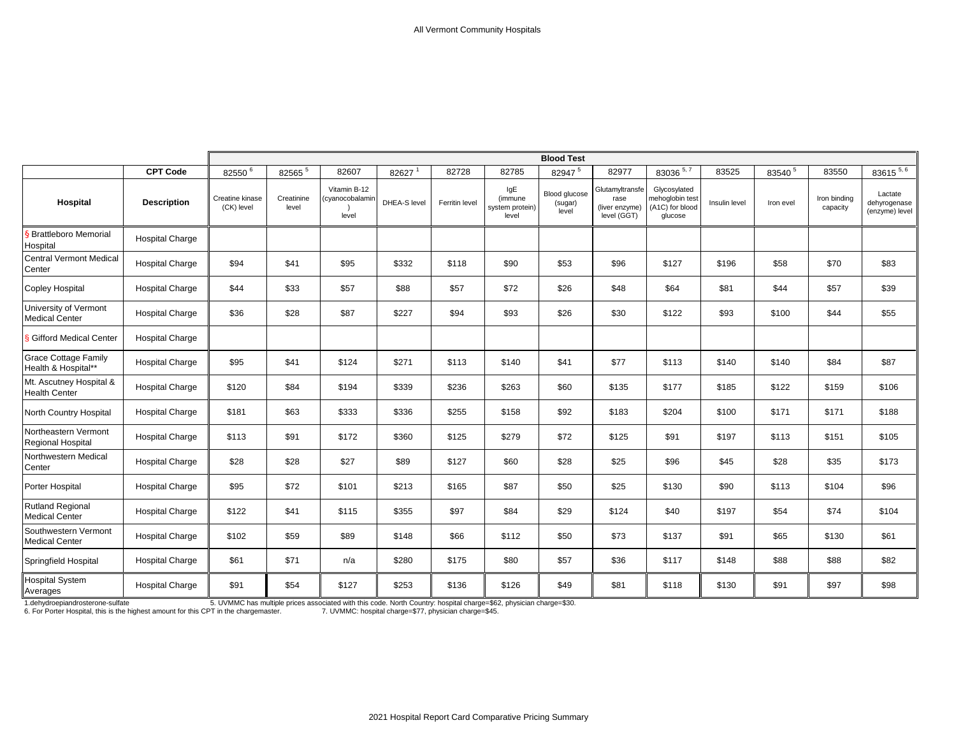|                                                    |                        | <b>Blood Test</b>             |                     |                                          |              |                |                                            |                                   |                                                          |                                                               |               |           |                          |                                           |
|----------------------------------------------------|------------------------|-------------------------------|---------------------|------------------------------------------|--------------|----------------|--------------------------------------------|-----------------------------------|----------------------------------------------------------|---------------------------------------------------------------|---------------|-----------|--------------------------|-------------------------------------------|
|                                                    | <b>CPT Code</b>        | 82550 <sup>6</sup>            | 82565 5             | 82607                                    | 82627        | 82728          | 82785                                      | 82947 5                           | 82977                                                    | 83036 5, 7                                                    | 83525         | 83540 5   | 83550                    | $83615^{5,6}$                             |
| Hospital                                           | <b>Description</b>     | Creatine kinase<br>(CK) level | Creatinine<br>level | Vitamin B-12<br>(cyanocobalamin<br>level | DHEA-S level | Ferritin level | IgE<br>(immune<br>system protein)<br>level | Blood glucose<br>(sugar)<br>level | Glutamyltransfe<br>rase<br>(liver enzyme)<br>level (GGT) | Glycosylated<br>mehoglobin test<br>(A1C) for blood<br>glucose | Insulin level | Iron evel | Iron binding<br>capacity | Lactate<br>dehyrogenase<br>(enzyme) level |
| S Brattleboro Memorial<br>Hospital                 | <b>Hospital Charge</b> |                               |                     |                                          |              |                |                                            |                                   |                                                          |                                                               |               |           |                          |                                           |
| <b>Central Vermont Medical</b><br>Center           | <b>Hospital Charge</b> | \$94                          | \$41                | \$95                                     | \$332        | \$118          | \$90                                       | \$53                              | \$96                                                     | \$127                                                         | \$196         | \$58      | \$70                     | \$83                                      |
| <b>Copley Hospital</b>                             | <b>Hospital Charge</b> | \$44                          | \$33                | \$57                                     | \$88         | \$57           | \$72                                       | \$26                              | \$48                                                     | \$64                                                          | \$81          | \$44      | \$57                     | \$39                                      |
| University of Vermont<br><b>Medical Center</b>     | <b>Hospital Charge</b> | \$36                          | \$28                | \$87                                     | \$227        | \$94           | \$93                                       | \$26                              | \$30                                                     | \$122                                                         | \$93          | \$100     | \$44                     | \$55                                      |
| Gifford Medical Center                             | <b>Hospital Charge</b> |                               |                     |                                          |              |                |                                            |                                   |                                                          |                                                               |               |           |                          |                                           |
| <b>Grace Cottage Family</b><br>Health & Hospital** | <b>Hospital Charge</b> | \$95                          | \$41                | \$124                                    | \$271        | \$113          | \$140                                      | \$41                              | \$77                                                     | \$113                                                         | \$140         | \$140     | \$84                     | \$87                                      |
| Mt. Ascutney Hospital &<br><b>Health Center</b>    | <b>Hospital Charge</b> | \$120                         | \$84                | \$194                                    | \$339        | \$236          | \$263                                      | \$60                              | \$135                                                    | \$177                                                         | \$185         | \$122     | \$159                    | \$106                                     |
| North Country Hospital                             | <b>Hospital Charge</b> | \$181                         | \$63                | \$333                                    | \$336        | \$255          | \$158                                      | \$92                              | \$183                                                    | \$204                                                         | \$100         | \$171     | \$171                    | \$188                                     |
| Northeastern Vermont<br>Regional Hospital          | <b>Hospital Charge</b> | \$113                         | \$91                | \$172                                    | \$360        | \$125          | \$279                                      | \$72                              | \$125                                                    | \$91                                                          | \$197         | \$113     | \$151                    | \$105                                     |
| Northwestern Medical<br>Center                     | <b>Hospital Charge</b> | \$28                          | \$28                | \$27                                     | \$89         | \$127          | \$60                                       | \$28                              | \$25                                                     | \$96                                                          | \$45          | \$28      | \$35                     | \$173                                     |
| Porter Hospital                                    | <b>Hospital Charge</b> | \$95                          | \$72                | \$101                                    | \$213        | \$165          | \$87                                       | \$50                              | \$25                                                     | \$130                                                         | \$90          | \$113     | \$104                    | \$96                                      |
| <b>Rutland Regional</b><br><b>Medical Center</b>   | <b>Hospital Charge</b> | \$122                         | \$41                | \$115                                    | \$355        | \$97           | \$84                                       | \$29                              | \$124                                                    | \$40                                                          | \$197         | \$54      | \$74                     | \$104                                     |
| Southwestern Vermont<br><b>Medical Center</b>      | <b>Hospital Charge</b> | \$102                         | \$59                | \$89                                     | \$148        | \$66           | \$112                                      | \$50                              | \$73                                                     | \$137                                                         | \$91          | \$65      | \$130                    | \$61                                      |
| Springfield Hospital                               | <b>Hospital Charge</b> | \$61                          | \$71                | n/a                                      | \$280        | \$175          | \$80                                       | \$57                              | \$36                                                     | \$117                                                         | \$148         | \$88      | \$88                     | \$82                                      |
| <b>Hospital System</b><br>Averages                 | <b>Hospital Charge</b> | \$91                          | \$54                | \$127                                    | \$253        | \$136          | \$126                                      | \$49                              | \$81                                                     | \$118                                                         | \$130         | \$91      | \$97                     | \$98                                      |

1.dehydroepiandrosterone-sulfate fact the highest of the S. UVMMC has multiple prices associated with this code. North Country: hospital charge=\$62, physician charge=\$30.<br>6. For Porter Hospital, this is the highest amount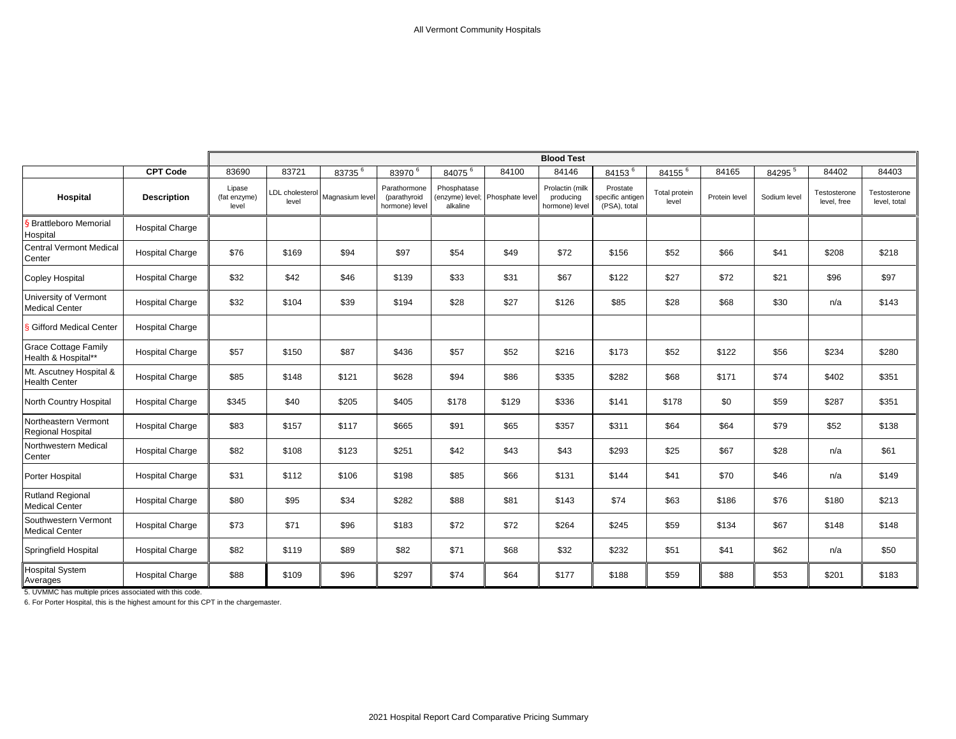|                                                    |                        | <b>Blood Test</b>               |                          |                 |                                                |                         |                                 |                                                |                                              |                        |               |              |                             |                              |
|----------------------------------------------------|------------------------|---------------------------------|--------------------------|-----------------|------------------------------------------------|-------------------------|---------------------------------|------------------------------------------------|----------------------------------------------|------------------------|---------------|--------------|-----------------------------|------------------------------|
|                                                    | <b>CPT Code</b>        | 83690                           | 83721                    | 83735 6         | 83970 6                                        | 84075 6                 | 84100                           | 84146                                          | 84153 <sup>6</sup>                           | 84155 <sup>6</sup>     | 84165         | 84295 5      | 84402                       | 84403                        |
| Hospital                                           | <b>Description</b>     | Lipase<br>(fat enzyme)<br>level | LDL cholesterol<br>level | Magnasium level | Parathormone<br>(parathyroid<br>hormone) level | Phosphatase<br>alkaline | (enzyme) level; Phosphate level | Prolactin (milk<br>producing<br>hormone) level | Prostate<br>specific antigen<br>(PSA), total | Total protein<br>level | Protein level | Sodium level | Testosterone<br>level, free | Testosterone<br>level, total |
| § Brattleboro Memorial<br>Hospital                 | <b>Hospital Charge</b> |                                 |                          |                 |                                                |                         |                                 |                                                |                                              |                        |               |              |                             |                              |
| <b>Central Vermont Medical</b><br>Center           | <b>Hospital Charge</b> | \$76                            | \$169                    | \$94            | \$97                                           | \$54                    | \$49                            | \$72                                           | \$156                                        | \$52                   | \$66          | \$41         | \$208                       | \$218                        |
| <b>Copley Hospital</b>                             | <b>Hospital Charge</b> | \$32                            | \$42                     | \$46            | \$139                                          | \$33                    | \$31                            | \$67                                           | \$122                                        | \$27                   | \$72          | \$21         | \$96                        | \$97                         |
| University of Vermont<br><b>Medical Center</b>     | <b>Hospital Charge</b> | \$32                            | \$104                    | \$39            | \$194                                          | \$28                    | \$27                            | \$126                                          | \$85                                         | \$28                   | \$68          | \$30         | n/a                         | \$143                        |
| <b>§ Gifford Medical Center</b>                    | <b>Hospital Charge</b> |                                 |                          |                 |                                                |                         |                                 |                                                |                                              |                        |               |              |                             |                              |
| <b>Grace Cottage Family</b><br>Health & Hospital** | <b>Hospital Charge</b> | \$57                            | \$150                    | \$87            | \$436                                          | \$57                    | \$52                            | \$216                                          | \$173                                        | \$52                   | \$122         | \$56         | \$234                       | \$280                        |
| Mt. Ascutney Hospital &<br><b>Health Center</b>    | <b>Hospital Charge</b> | \$85                            | \$148                    | \$121           | \$628                                          | \$94                    | \$86                            | \$335                                          | \$282                                        | \$68                   | \$171         | \$74         | \$402                       | \$351                        |
| North Country Hospital                             | <b>Hospital Charge</b> | \$345                           | \$40                     | \$205           | \$405                                          | \$178                   | \$129                           | \$336                                          | \$141                                        | \$178                  | \$0           | \$59         | \$287                       | \$351                        |
| Northeastern Vermont<br>Regional Hospital          | <b>Hospital Charge</b> | \$83                            | \$157                    | \$117           | \$665                                          | \$91                    | \$65                            | \$357                                          | \$311                                        | \$64                   | \$64          | \$79         | \$52                        | \$138                        |
| Northwestern Medical<br>Center                     | <b>Hospital Charge</b> | \$82                            | \$108                    | \$123           | \$251                                          | \$42                    | \$43                            | \$43                                           | \$293                                        | \$25                   | \$67          | \$28         | n/a                         | \$61                         |
| Porter Hospital                                    | <b>Hospital Charge</b> | \$31                            | \$112                    | \$106           | \$198                                          | \$85                    | \$66                            | \$131                                          | \$144                                        | \$41                   | \$70          | \$46         | n/a                         | \$149                        |
| <b>Rutland Regional</b><br><b>Medical Center</b>   | <b>Hospital Charge</b> | \$80                            | \$95                     | \$34            | \$282                                          | \$88                    | \$81                            | \$143                                          | \$74                                         | \$63                   | \$186         | \$76         | \$180                       | \$213                        |
| Southwestern Vermont<br><b>Medical Center</b>      | <b>Hospital Charge</b> | \$73                            | \$71                     | \$96            | \$183                                          | \$72                    | \$72                            | \$264                                          | \$245                                        | \$59                   | \$134         | \$67         | \$148                       | \$148                        |
| Springfield Hospital                               | <b>Hospital Charge</b> | \$82                            | \$119                    | \$89            | \$82                                           | \$71                    | \$68                            | \$32                                           | \$232                                        | \$51                   | \$41          | \$62         | n/a                         | \$50                         |
| <b>Hospital System</b><br>Averages                 | <b>Hospital Charge</b> | \$88                            | \$109                    | \$96            | \$297                                          | \$74                    | \$64                            | \$177                                          | \$188                                        | \$59                   | \$88          | \$53         | \$201                       | \$183                        |

5. UVMMC has multiple prices associated with this code.

6. For Porter Hospital, this is the highest amount for this CPT in the chargemaster.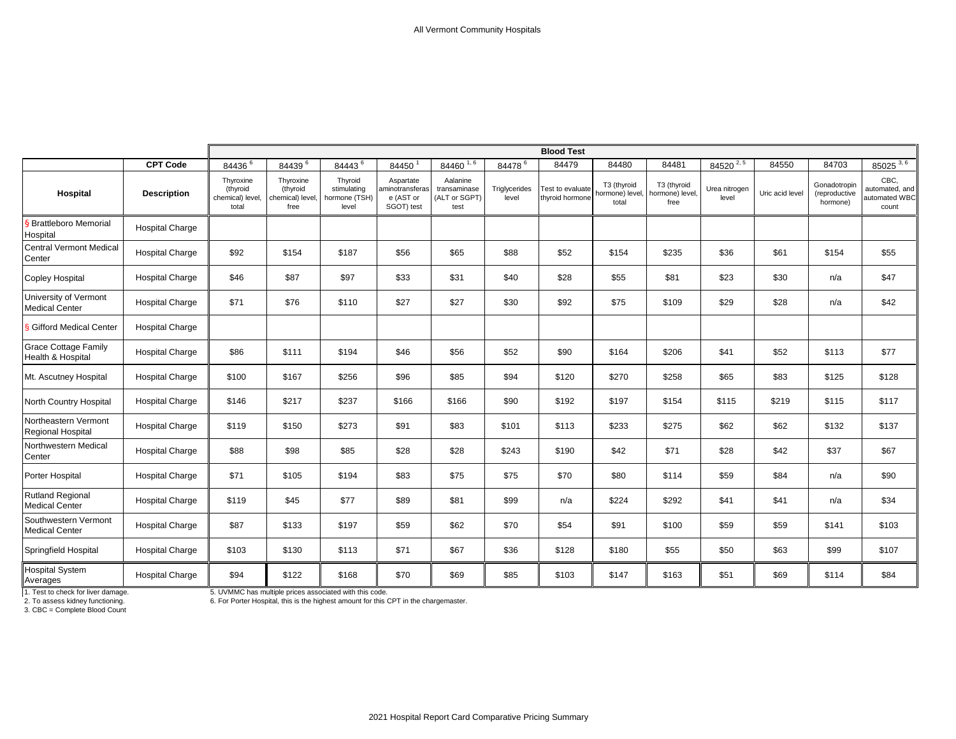|                                                  |                        | <b>Blood Test</b>                                  |                                                   |                                                  |                                                         |                                                   |                        |                                     |                                         |                                        |                        |                 |                                           |                                                  |
|--------------------------------------------------|------------------------|----------------------------------------------------|---------------------------------------------------|--------------------------------------------------|---------------------------------------------------------|---------------------------------------------------|------------------------|-------------------------------------|-----------------------------------------|----------------------------------------|------------------------|-----------------|-------------------------------------------|--------------------------------------------------|
|                                                  | <b>CPT Code</b>        | $84436$ <sup>6</sup>                               | 84439 <sup>6</sup>                                | 84443 <sup>6</sup>                               | 84450                                                   | 84460 1, 6                                        | 84478 <sup>6</sup>     | 84479                               | 84480                                   | 84481                                  | 84520 2, 5             | 84550           | 84703                                     | 85025 3, 6                                       |
| Hospital                                         | <b>Description</b>     | Thyroxine<br>(thyroid<br>chemical) level,<br>total | Thyroxine<br>(thyroid<br>chemical) level,<br>free | Thyroid<br>stimulating<br>hormone (TSH)<br>level | Aspartate<br>aminotransferas<br>e (AST or<br>SGOT) test | Aalanine<br>transaminase<br>(ALT or SGPT)<br>test | Triglycerides<br>level | Test to evaluate<br>thyroid hormone | T3 (thyroid<br>hormone) level,<br>total | T3 (thyroid<br>hormone) level,<br>free | Urea nitrogen<br>level | Uric acid level | Gonadotropin<br>(reproductive<br>hormone) | CBC.<br>automated, and<br>automated WBC<br>count |
| § Brattleboro Memorial<br>Hospital               | <b>Hospital Charge</b> |                                                    |                                                   |                                                  |                                                         |                                                   |                        |                                     |                                         |                                        |                        |                 |                                           |                                                  |
| <b>Central Vermont Medical</b><br>Center         | <b>Hospital Charge</b> | \$92                                               | \$154                                             | \$187                                            | \$56                                                    | \$65                                              | \$88                   | \$52                                | \$154                                   | \$235                                  | \$36                   | \$61            | \$154                                     | \$55                                             |
| <b>Copley Hospital</b>                           | <b>Hospital Charge</b> | \$46                                               | \$87                                              | \$97                                             | \$33                                                    | \$31                                              | \$40                   | \$28                                | \$55                                    | \$81                                   | \$23                   | \$30            | n/a                                       | \$47                                             |
| University of Vermont<br><b>Medical Center</b>   | <b>Hospital Charge</b> | \$71                                               | \$76                                              | \$110                                            | \$27                                                    | \$27                                              | \$30                   | \$92                                | \$75                                    | \$109                                  | \$29                   | \$28            | n/a                                       | \$42                                             |
| <b>§ Gifford Medical Center</b>                  | <b>Hospital Charge</b> |                                                    |                                                   |                                                  |                                                         |                                                   |                        |                                     |                                         |                                        |                        |                 |                                           |                                                  |
| <b>Grace Cottage Family</b><br>Health & Hospital | <b>Hospital Charge</b> | \$86                                               | \$111                                             | \$194                                            | \$46                                                    | \$56                                              | \$52                   | \$90                                | \$164                                   | \$206                                  | \$41                   | \$52            | \$113                                     | \$77                                             |
| Mt. Ascutney Hospital                            | <b>Hospital Charge</b> | \$100                                              | \$167                                             | \$256                                            | \$96                                                    | \$85                                              | \$94                   | \$120                               | \$270                                   | \$258                                  | \$65                   | \$83            | \$125                                     | \$128                                            |
| North Country Hospital                           | <b>Hospital Charge</b> | \$146                                              | \$217                                             | \$237                                            | \$166                                                   | \$166                                             | \$90                   | \$192                               | \$197                                   | \$154                                  | \$115                  | \$219           | \$115                                     | \$117                                            |
| Northeastern Vermont<br>Regional Hospital        | <b>Hospital Charge</b> | \$119                                              | \$150                                             | \$273                                            | \$91                                                    | \$83                                              | \$101                  | \$113                               | \$233                                   | \$275                                  | \$62                   | \$62            | \$132                                     | \$137                                            |
| Northwestern Medical<br>Center                   | <b>Hospital Charge</b> | \$88                                               | \$98                                              | \$85                                             | \$28                                                    | \$28                                              | \$243                  | \$190                               | \$42                                    | \$71                                   | \$28                   | \$42            | \$37                                      | \$67                                             |
| Porter Hospital                                  | <b>Hospital Charge</b> | \$71                                               | \$105                                             | \$194                                            | \$83                                                    | \$75                                              | \$75                   | \$70                                | \$80                                    | \$114                                  | \$59                   | \$84            | n/a                                       | \$90                                             |
| <b>Rutland Regional</b><br><b>Medical Center</b> | <b>Hospital Charge</b> | \$119                                              | \$45                                              | \$77                                             | \$89                                                    | \$81                                              | \$99                   | n/a                                 | \$224                                   | \$292                                  | \$41                   | \$41            | n/a                                       | \$34                                             |
| Southwestern Vermont<br><b>Medical Center</b>    | <b>Hospital Charge</b> | \$87                                               | \$133                                             | \$197                                            | \$59                                                    | \$62                                              | \$70                   | \$54                                | \$91                                    | \$100                                  | \$59                   | \$59            | \$141                                     | \$103                                            |
| Springfield Hospital                             | <b>Hospital Charge</b> | \$103                                              | \$130                                             | \$113                                            | \$71                                                    | \$67                                              | \$36                   | \$128                               | \$180                                   | \$55                                   | \$50                   | \$63            | \$99                                      | \$107                                            |
| Hospital System<br>Averages                      | <b>Hospital Charge</b> | \$94                                               | \$122                                             | \$168                                            | \$70                                                    | \$69                                              | \$85                   | \$103                               | \$147                                   | \$163                                  | \$51                   | \$69            | \$114                                     | \$84                                             |

1. Test to check for liver damage.<br>2. To assess kidney functioning.<br>3. CBC = Complete Blood Count

1. Test to check for liver damage. 5. UVMMC has multiple prices associated with this code. 2. To assess kidney functioning. 6. For Porter Hospital, this is the highest amount for this CPT in the chargemaster.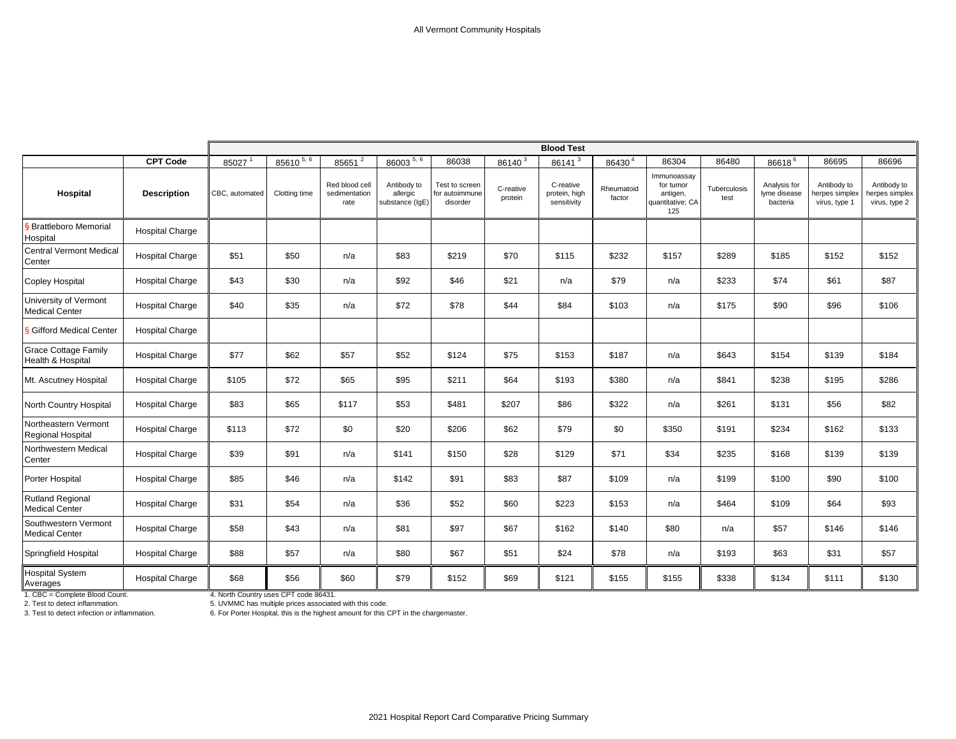|                                                  |                        | <b>Blood Test</b> |               |                                         |                                            |                                              |                      |                                           |                      |                                                                 |                      |                                          |                                                |                                                |
|--------------------------------------------------|------------------------|-------------------|---------------|-----------------------------------------|--------------------------------------------|----------------------------------------------|----------------------|-------------------------------------------|----------------------|-----------------------------------------------------------------|----------------------|------------------------------------------|------------------------------------------------|------------------------------------------------|
|                                                  | <b>CPT Code</b>        | 85027             | 85610 5, 6    | 85651 <sup>2</sup>                      | 86003 5, 6                                 | 86038                                        | 86140 <sup>3</sup>   | 86141 <sup>3</sup>                        | 86430 <sup>4</sup>   | 86304                                                           | 86480                | 86618 <sup>6</sup>                       | 86695                                          | 86696                                          |
| Hospital                                         | <b>Description</b>     | CBC, automated    | Clotting time | Red blood cell<br>sedimentation<br>rate | Antibody to<br>allergic<br>substance (IgE) | Test to screen<br>for autoimmune<br>disorder | C-reative<br>protein | C-reative<br>protein, high<br>sensitivity | Rheumatoid<br>factor | Immunoassay<br>for tumor<br>antigen,<br>quantitative; CA<br>125 | Tuberculosis<br>test | Analysis for<br>lyme disease<br>bacteria | Antibody to<br>herpes simplex<br>virus, type 1 | Antibody to<br>herpes simplex<br>virus, type 2 |
| <b>§ Brattleboro Memorial</b><br>Hospital        | <b>Hospital Charge</b> |                   |               |                                         |                                            |                                              |                      |                                           |                      |                                                                 |                      |                                          |                                                |                                                |
| <b>Central Vermont Medical</b><br>Center         | <b>Hospital Charge</b> | \$51              | \$50          | n/a                                     | \$83                                       | \$219                                        | \$70                 | \$115                                     | \$232                | \$157                                                           | \$289                | \$185                                    | \$152                                          | \$152                                          |
| <b>Copley Hospital</b>                           | <b>Hospital Charge</b> | \$43              | \$30          | n/a                                     | \$92                                       | \$46                                         | \$21                 | n/a                                       | \$79                 | n/a                                                             | \$233                | \$74                                     | \$61                                           | \$87                                           |
| University of Vermont<br><b>Medical Center</b>   | <b>Hospital Charge</b> | \$40              | \$35          | n/a                                     | \$72                                       | \$78                                         | \$44                 | \$84                                      | \$103                | n/a                                                             | \$175                | \$90                                     | \$96                                           | \$106                                          |
| <b>§ Gifford Medical Center</b>                  | <b>Hospital Charge</b> |                   |               |                                         |                                            |                                              |                      |                                           |                      |                                                                 |                      |                                          |                                                |                                                |
| <b>Grace Cottage Family</b><br>Health & Hospital | <b>Hospital Charge</b> | \$77              | \$62          | \$57                                    | \$52                                       | \$124                                        | \$75                 | \$153                                     | \$187                | n/a                                                             | \$643                | \$154                                    | \$139                                          | \$184                                          |
| Mt. Ascutney Hospital                            | <b>Hospital Charge</b> | \$105             | \$72          | \$65                                    | \$95                                       | \$211                                        | \$64                 | \$193                                     | \$380                | n/a                                                             | \$841                | \$238                                    | \$195                                          | \$286                                          |
| North Country Hospital                           | <b>Hospital Charge</b> | \$83              | \$65          | \$117                                   | \$53                                       | \$481                                        | \$207                | \$86                                      | \$322                | n/a                                                             | \$261                | \$131                                    | \$56                                           | \$82                                           |
| Northeastern Vermont<br>Regional Hospital        | <b>Hospital Charge</b> | \$113             | \$72          | \$0                                     | \$20                                       | \$206                                        | \$62                 | \$79                                      | \$0                  | \$350                                                           | \$191                | \$234                                    | \$162                                          | \$133                                          |
| Northwestern Medical<br>Center                   | <b>Hospital Charge</b> | \$39              | \$91          | n/a                                     | \$141                                      | \$150                                        | \$28                 | \$129                                     | \$71                 | \$34                                                            | \$235                | \$168                                    | \$139                                          | \$139                                          |
| Porter Hospital                                  | <b>Hospital Charge</b> | \$85              | \$46          | n/a                                     | \$142                                      | \$91                                         | \$83                 | \$87                                      | \$109                | n/a                                                             | \$199                | \$100                                    | \$90                                           | \$100                                          |
| <b>Rutland Regional</b><br><b>Medical Center</b> | <b>Hospital Charge</b> | \$31              | \$54          | n/a                                     | \$36                                       | \$52                                         | \$60                 | \$223                                     | \$153                | n/a                                                             | \$464                | \$109                                    | \$64                                           | \$93                                           |
| Southwestern Vermont<br><b>Medical Center</b>    | <b>Hospital Charge</b> | \$58              | \$43          | n/a                                     | \$81                                       | \$97                                         | \$67                 | \$162                                     | \$140                | \$80                                                            | n/a                  | \$57                                     | \$146                                          | \$146                                          |
| Springfield Hospital                             | <b>Hospital Charge</b> | \$88              | \$57          | n/a                                     | \$80                                       | \$67                                         | \$51                 | \$24                                      | \$78                 | n/a                                                             | \$193                | \$63                                     | \$31                                           | \$57                                           |
| <b>Hospital System</b><br>Averages               | <b>Hospital Charge</b> | \$68              | \$56          | \$60                                    | \$79                                       | \$152                                        | \$69                 | \$121                                     | \$155                | \$155                                                           | \$338                | \$134                                    | \$111                                          | \$130                                          |

3. Test to detect infection or inflammation. 6. For Porter Hospital, this is the highest amount for this CPT in the chargemaster. 2. Test to detect inflammation. 5. UVMMC has multiple prices associated with this code. 1. CBC = Complete Blood Count. 4. North Country uses CPT code 86431.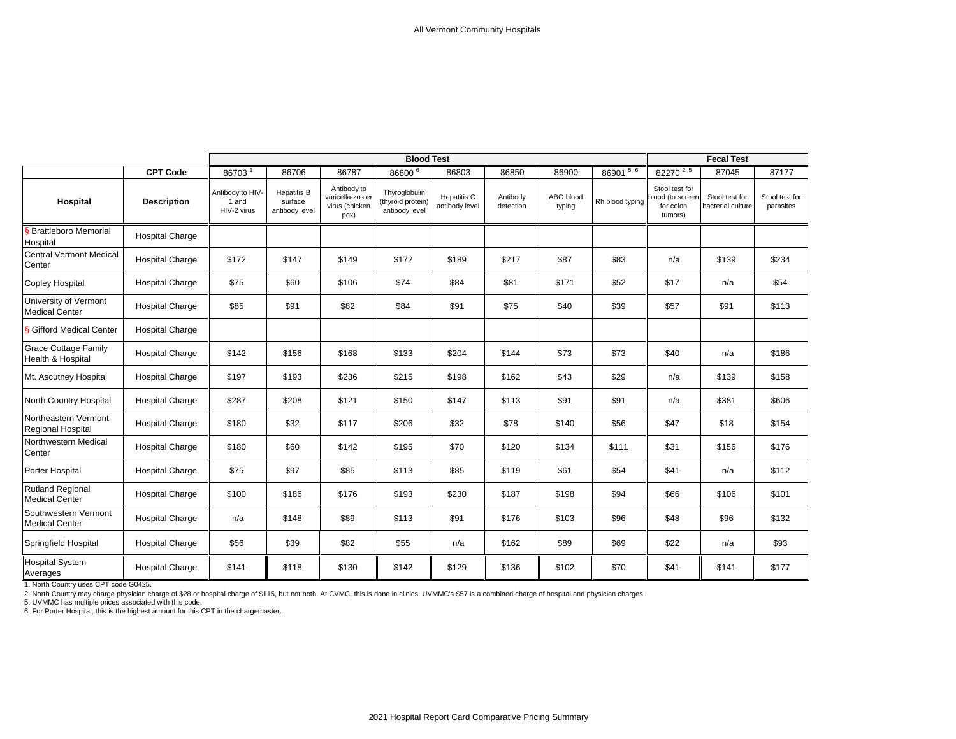|                                                  |                        |                                          |                                                 |                                                           | <b>Blood Test</b>                                    |                               |                       |                     |                 | <b>Fecal Test</b>                                          |                                     |                             |
|--------------------------------------------------|------------------------|------------------------------------------|-------------------------------------------------|-----------------------------------------------------------|------------------------------------------------------|-------------------------------|-----------------------|---------------------|-----------------|------------------------------------------------------------|-------------------------------------|-----------------------------|
|                                                  | <b>CPT Code</b>        | 86703 <sup>1</sup>                       | 86706                                           | 86787                                                     | 86800 <sup>6</sup>                                   | 86803                         | 86850                 | 86900               | $86901^{5,6}$   | 82270 $2,5$                                                | 87045                               | 87177                       |
| Hospital                                         | <b>Description</b>     | Antibody to HIV-<br>1 and<br>HIV-2 virus | <b>Hepatitis B</b><br>surface<br>antibody level | Antibody to<br>varicella-zoster<br>virus (chicken<br>pox) | Thyroglobulin<br>(thyroid protein)<br>antibody level | Hepatitis C<br>antibody level | Antibody<br>detection | ABO blood<br>typing | Rh blood typing | Stool test for<br>blood (to screen<br>for colon<br>tumors) | Stool test for<br>bacterial culture | Stool test for<br>parasites |
| § Brattleboro Memorial<br>Hospital               | <b>Hospital Charge</b> |                                          |                                                 |                                                           |                                                      |                               |                       |                     |                 |                                                            |                                     |                             |
| <b>Central Vermont Medical</b><br>Center         | <b>Hospital Charge</b> | \$172                                    | \$147                                           | \$149                                                     | \$172                                                | \$189                         | \$217                 | \$87                | \$83            | n/a                                                        | \$139                               | \$234                       |
| <b>Copley Hospital</b>                           | <b>Hospital Charge</b> | \$75                                     | \$60                                            | \$106                                                     | \$74                                                 | \$84                          | \$81                  | \$171               | \$52            | \$17                                                       | n/a                                 | \$54                        |
| University of Vermont<br><b>Medical Center</b>   | <b>Hospital Charge</b> | \$85                                     | \$91                                            | \$82                                                      | \$84                                                 | \$91                          | \$75                  | \$40                | \$39            | \$57                                                       | \$91                                | \$113                       |
| <b>§ Gifford Medical Center</b>                  | <b>Hospital Charge</b> |                                          |                                                 |                                                           |                                                      |                               |                       |                     |                 |                                                            |                                     |                             |
| <b>Grace Cottage Family</b><br>Health & Hospital | <b>Hospital Charge</b> | \$142                                    | \$156                                           | \$168                                                     | \$133                                                | \$204                         | \$144                 | \$73                | \$73            | \$40                                                       | n/a                                 | \$186                       |
| Mt. Ascutney Hospital                            | <b>Hospital Charge</b> | \$197                                    | \$193                                           | \$236                                                     | \$215                                                | \$198                         | \$162                 | \$43                | \$29            | n/a                                                        | \$139                               | \$158                       |
| North Country Hospital                           | <b>Hospital Charge</b> | \$287                                    | \$208                                           | \$121                                                     | \$150                                                | \$147                         | \$113                 | \$91                | \$91            | n/a                                                        | \$381                               | \$606                       |
| Northeastern Vermont<br><b>Regional Hospital</b> | <b>Hospital Charge</b> | \$180                                    | \$32                                            | \$117                                                     | \$206                                                | \$32                          | \$78                  | \$140               | \$56            | \$47                                                       | \$18                                | \$154                       |
| Northwestern Medical<br>Center                   | <b>Hospital Charge</b> | \$180                                    | \$60                                            | \$142                                                     | \$195                                                | \$70                          | \$120                 | \$134               | \$111           | \$31                                                       | \$156                               | \$176                       |
| Porter Hospital                                  | <b>Hospital Charge</b> | \$75                                     | \$97                                            | \$85                                                      | \$113                                                | \$85                          | \$119                 | \$61                | \$54            | \$41                                                       | n/a                                 | \$112                       |
| <b>Rutland Regional</b><br><b>Medical Center</b> | <b>Hospital Charge</b> | \$100                                    | \$186                                           | \$176                                                     | \$193                                                | \$230                         | \$187                 | \$198               | \$94            | \$66                                                       | \$106                               | \$101                       |
| Southwestern Vermont<br><b>Medical Center</b>    | <b>Hospital Charge</b> | n/a                                      | \$148                                           | \$89                                                      | \$113                                                | \$91                          | \$176                 | \$103               | \$96            | \$48                                                       | \$96                                | \$132                       |
| Springfield Hospital                             | <b>Hospital Charge</b> | \$56                                     | \$39                                            | \$82                                                      | \$55                                                 | n/a                           | \$162                 | \$89                | \$69            | \$22                                                       | n/a                                 | \$93                        |
| <b>Hospital System</b><br>Averages               | <b>Hospital Charge</b> | \$141                                    | \$118                                           | \$130                                                     | \$142                                                | \$129                         | \$136                 | \$102               | \$70            | \$41                                                       | \$141                               | \$177                       |

1. North Country uses CPT code G0425.

2. North Country may charge physician charge of \$28 or hospital charge of \$115, but not both. At CVMC, this is done in clinics. UVMMC's \$57 is a combined charge of hospital and physician charges.<br>5. UVMMC has multiple pric

6. For Porter Hospital, this is the highest amount for this CPT in the chargemaster.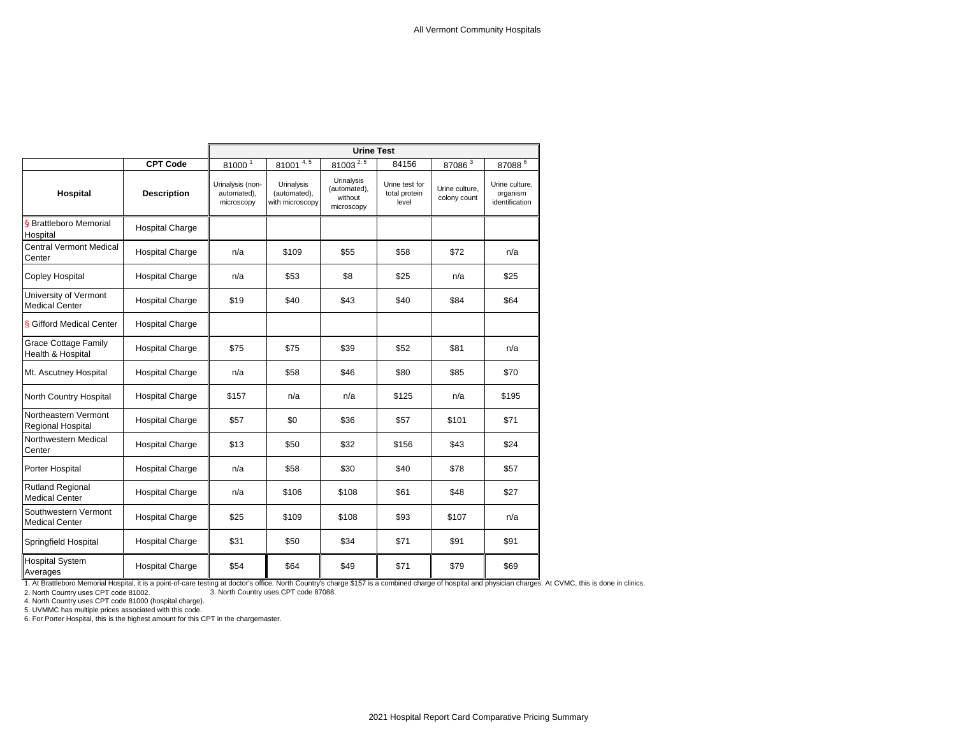|                                                  |                        |                                               |                                               | <b>Urine Test</b>                                   |                                          |                                |                                              |
|--------------------------------------------------|------------------------|-----------------------------------------------|-----------------------------------------------|-----------------------------------------------------|------------------------------------------|--------------------------------|----------------------------------------------|
|                                                  | <b>CPT Code</b>        | 81000 <sup>1</sup>                            | 81001 $\frac{4,5}{4}$                         | $81003^{2,5}$                                       | 84156                                    | 87086 <sup>3</sup>             | $87088$ <sup>6</sup>                         |
| Hospital                                         | <b>Description</b>     | Urinalysis (non-<br>automated),<br>microscopy | Urinalysis<br>(automated),<br>with microscopy | Urinalysis<br>(automated),<br>without<br>microscopy | Urine test for<br>total protein<br>level | Urine culture,<br>colony count | Urine culture.<br>organism<br>identification |
| § Brattleboro Memorial<br>Hospital               | <b>Hospital Charge</b> |                                               |                                               |                                                     |                                          |                                |                                              |
| <b>Central Vermont Medical</b><br>Center         | <b>Hospital Charge</b> | n/a                                           | \$109                                         | \$55                                                | \$58                                     | \$72                           | n/a                                          |
| <b>Copley Hospital</b>                           | <b>Hospital Charge</b> | n/a                                           | \$53                                          | \$8                                                 | \$25                                     | n/a                            | \$25                                         |
| University of Vermont<br><b>Medical Center</b>   | <b>Hospital Charge</b> | \$19                                          | \$40                                          | \$43                                                | \$40                                     | \$84                           | \$64                                         |
| <b>&amp; Gifford Medical Center</b>              | <b>Hospital Charge</b> |                                               |                                               |                                                     |                                          |                                |                                              |
| <b>Grace Cottage Family</b><br>Health & Hospital | <b>Hospital Charge</b> | \$75                                          | \$75                                          | \$39                                                | \$52                                     | \$81                           | n/a                                          |
| Mt. Ascutney Hospital                            | <b>Hospital Charge</b> | n/a                                           | \$58                                          | \$46                                                | \$80                                     | \$85                           | \$70                                         |
| North Country Hospital                           | <b>Hospital Charge</b> | \$157                                         | n/a                                           | n/a                                                 | \$125                                    | n/a                            | \$195                                        |
| Northeastern Vermont<br><b>Regional Hospital</b> | <b>Hospital Charge</b> | \$57                                          | \$0                                           | \$36                                                | \$57                                     | \$101                          | \$71                                         |
| Northwestern Medical<br>Center                   | <b>Hospital Charge</b> | \$13                                          | \$50                                          | \$32                                                | \$156                                    | \$43                           | \$24                                         |
| Porter Hospital                                  | <b>Hospital Charge</b> | n/a                                           | \$58                                          | \$30                                                | \$40                                     | \$78                           | \$57                                         |
| <b>Rutland Regional</b><br><b>Medical Center</b> | <b>Hospital Charge</b> | n/a                                           | \$106                                         | \$108                                               | \$61                                     | \$48                           | \$27                                         |
| Southwestern Vermont<br><b>Medical Center</b>    | <b>Hospital Charge</b> | \$25                                          | \$109                                         | \$108                                               | \$93                                     | \$107                          | n/a                                          |
| Springfield Hospital                             | <b>Hospital Charge</b> | \$31                                          | \$50                                          | \$34                                                | \$71                                     | \$91                           | \$91                                         |
| <b>Hospital System</b><br>Averages               | <b>Hospital Charge</b> | \$54                                          | \$64                                          | \$49                                                | \$71                                     | \$79                           | \$69                                         |

1. At Brattleboro Memorial Hospital, it is a point-of-care testing at doctor's office. North Country's charge \$157 is a combined charge of hospital and physician charges. At CVMC, this is done in clinics.

2. North Country uses CPT code 81002. 3. North Country uses CPT code 87088. 4. North Country uses CPT code 81000 (hospital charge).

5. UVMMC has multiple prices associated with this code.

6. For Porter Hospital, this is the highest amount for this CPT in the chargemaster.